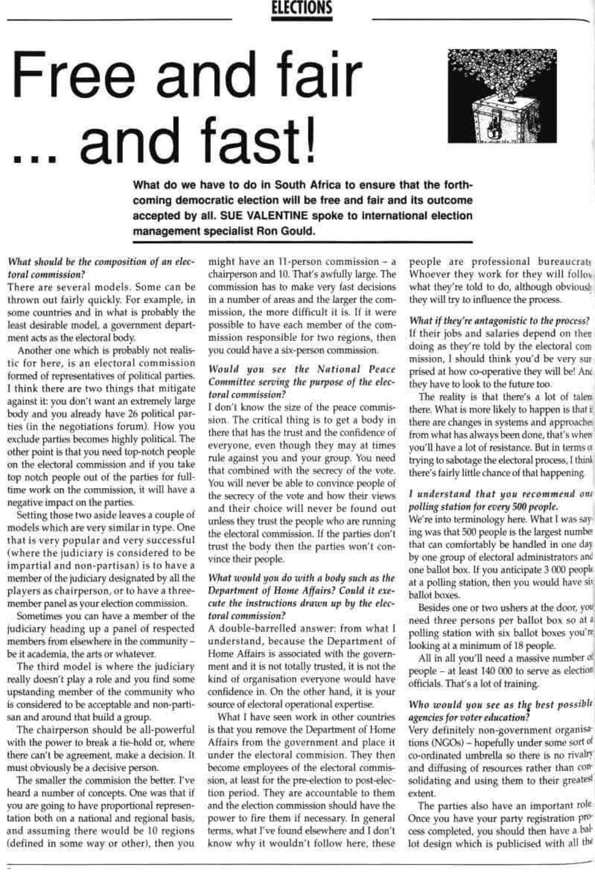# **ELECTIONS**

# Free and fair and fast!



What do we have to do in South Africa to ensure that the forthcoming democratic election will be free and fair and its outcome accepted by all. SUE VALENTINE spoke to international election management specialist Ron Gould.

### What should be the composition of an electoral commission?

There are several models. Some can be thrown out fairly quickly. For example, in some countries and in what is probably the least desirable model, a government department acts as the electoral body.

Another one which is probably not realistic for here, is an electoral commission formed of representatives of political parties. I think there are two things that mitigate against it: you don't want an extremely large body and you already have 26 political parties (in the negotiations forum). How you exclude parties becomes highly political. The other point is that you need top-notch people on the electoral commission and if you take top notch people out of the parties for fulltime work on the commission, it will have a negative impact on the parties.

Setting those two aside leaves a couple of models which are very similar in type. One that is very popular and very successful (where the judiciary is considered to be impartial and non-partisan) is to have a member of the judiciary designated by all the players as chairperson, or to have a threemember panel as your election commission.

Sometimes you can have a member of the judiciary heading up a panel of respected members from elsewhere in the community be it academia, the arts or whatever.

The third model is where the judiciary

might have an 11-person commission - a chairperson and 10. That's awfully large. The commission has to make very fast decisions in a number of areas and the larger the commission, the more difficult it is. If it were possible to have each member of the commission responsible for two regions, then you could have a six-person commission.

## Would you see the National Peace Committee serving the purpose of the electoral commission?

I don't know the size of the peace commission. The critical thing is to get a body in there that has the trust and the confidence of everyone, even though they may at times rule against you and your group. You need that combined with the secrecy of the vote. You will never be able to convince people of the secrecy of the vote and how their views and their choice will never be found out unless they trust the people who are running the electoral commission. If the parties don't trust the body then the parties won't convince their people.

### What would you do with a body such as the Department of Home Affairs? Could it execute the instructions drawn up by the electoral commission?

A double-barrelled answer: from what I understand, because the Department of Home Affairs is associated with the government and it is not totally trusted, it is not the kind of organisation everyone would have confidence in. On the other hand, it is your source of electoral operational expertise. What I have seen work in other countries is that you remove the Department of Home Affairs from the government and place it under the electoral commision. They then become employees of the electoral commission, at least for the pre-election to post-election period. They are accountable to them and the election commission should have the power to fire them if necessary. In general terms, what I've found elsewhere and I don't know why it wouldn't follow here, these

people are professional bureaucrats Whoever they work for they will follow what they're told to do, although obviously they will try to influence the process.

# What if they're antagonistic to the process?

If their jobs and salaries depend on then doing as they're told by the electoral commission, I should think you'd be very sur prised at how co-operative they will be! And they have to look to the future too.

The reality is that there's a lot of talent there. What is more likely to happen is that i there are changes in systems and approache from what has always been done, that's when you'll have a lot of resistance. But in terms of trying to sabotage the electoral process, I think there's fairly little chance of that happening.

## I understand that you recommend one polling station for every 500 people.

We're into terminology here. What I was say ing was that 500 people is the largest number that can comfortably be handled in one day by one group of electoral administrators and one ballot box. If you anticipate 3 000 people at a polling station, then you would have six ballot boxes.

Besides one or two ushers at the door, you need three persons per ballot box so at a polling station with six ballot boxes you're looking at a minimum of 18 people.

All in all you'll need a massive number of people - at least 140 000 to serve as election officials. That's a lot of training.

really doesn't play a role and you find some upstanding member of the community who is considered to be acceptable and non-partisan and around that build a group.

The chairperson should be all-powerful with the power to break a tie-hold or, where there can't be agreement, make a decision. It must obviously be a decisive person.

The smaller the commision the better. I've heard a number of concepts. One was that if you are going to have proportional representation both on a national and regional basis, and assuming there would be 10 regions (defined in some way or other), then you Who would you see as the best possible agencies for voter education?

Very definitely non-government organisations (NGOs) - hopefully under some sort of co-ordinated umbrella so there is no rivalry and diffusing of resources rather than consolidating and using them to their greatest extent.

The parties also have an important role Once you have your party registration process completed, you should then have a ballot design which is publicised with all the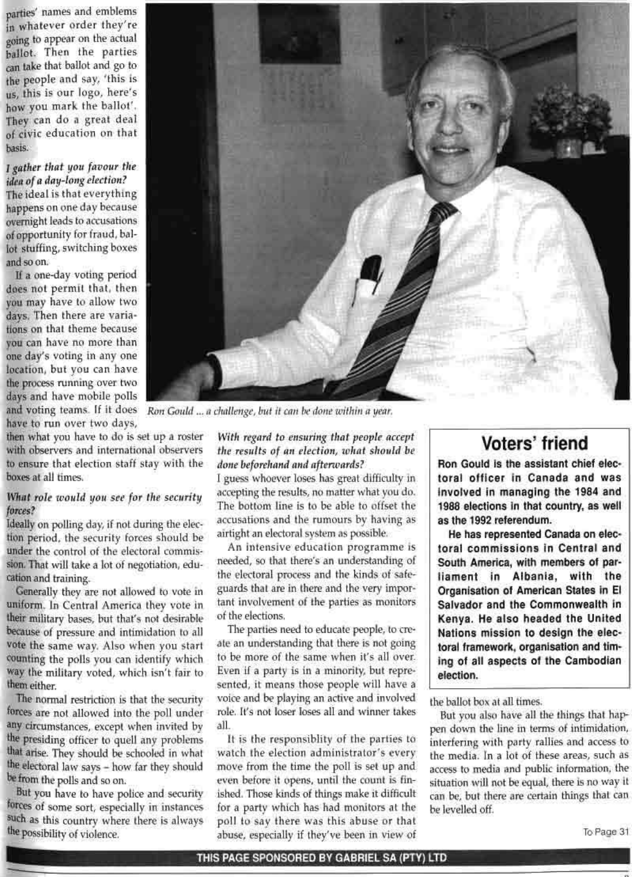parties' names and emblems in whatever order they're going to appear on the actual ballot. Then the parties can take that ballot and go to the people and say, 'this is us, this is our logo, here's how you mark the ballot'. They can do a great deal of civic education on that basis.

I gather that you favour the idea of a day-long election? The ideal is that everything happens on one day because overnight leads to accusations of opportunity for fraud, ballot stuffing, switching boxes and so on.

If a one-day voting period does not permit that, then you may have to allow two days. Then there are variations on that theme because you can have no more than one day's voting in any one location, but you can have the process running over two days and have mobile polls have to run over two days,

then what you have to do is set up a roster with observers and international observers to ensure that election staff stay with the boxes at all times.

## What role would you see for the security forces?

Ideally on polling day, if not during the election period, the security forces should be under the control of the electoral commission. That will take a lot of negotiation, education and training.

Generally they are not allowed to vote in uniform. In Central America they vote in their military bases, but that's not desirable because of pressure and intimidation to all vote the same way. Also when you start counting the polls you can identify which way the military voted, which isn't fair to them either.

The normal restriction is that the security forces are not allowed into the poll under any circumstances, except when invited by the presiding officer to quell any problems that arise. They should be schooled in what the electoral law says - how far they should be from the polls and so on.

But you have to have police and security forces of some sort, especially in instances such as this country where there is always the possibility of violence.



and voting teams. If it does Ron Gould ... a challenge, but it can be done within a year.

### With regard to ensuring that people accept the results of an election, what should be done beforehand and afterwards?

I guess whoever loses has great difficulty in accepting the results, no matter what you do. The bottom line is to be able to offset the accusations and the rumours by having as airtight an electoral system as possible.

An intensive education programme is needed, so that there's an understanding of the electoral process and the kinds of safeguards that are in there and the very important involvement of the parties as monitors of the elections.

The parties need to educate people, to create an understanding that there is not going to be more of the same when it's all over. Even if a party is in a minority, but represented, it means those people will have a voice and be playing an active and involved role. It's not loser loses all and winner takes all.

It is the responsiblity of the parties to watch the election administrator's every move from the time the poll is set up and even before it opens, until the count is finished. Those kinds of things make it difficult for a party which has had monitors at the poll to say there was this abuse or that abuse, especially if they've been in view of

# **Voters' friend**

Ron Gould is the assistant chief electoral officer in Canada and was involved in managing the 1984 and 1988 elections in that country, as well as the 1992 referendum.

He has represented Canada on electoral commissions in Central and South America, with members of parliament in Albania, with the Organisation of American States in El Salvador and the Commonwealth in Kenya. He also headed the United Nations mission to design the electoral framework, organisation and timing of all aspects of the Cambodian election.

the ballot box at all times.

But you also have all the things that happen down the line in terms of intimidation, interfering with party rallies and access to the media. In a lot of these areas, such as access to media and public information, the situation will not be equal, there is no way it can be, but there are certain things that can be levelled off.

To Page 31